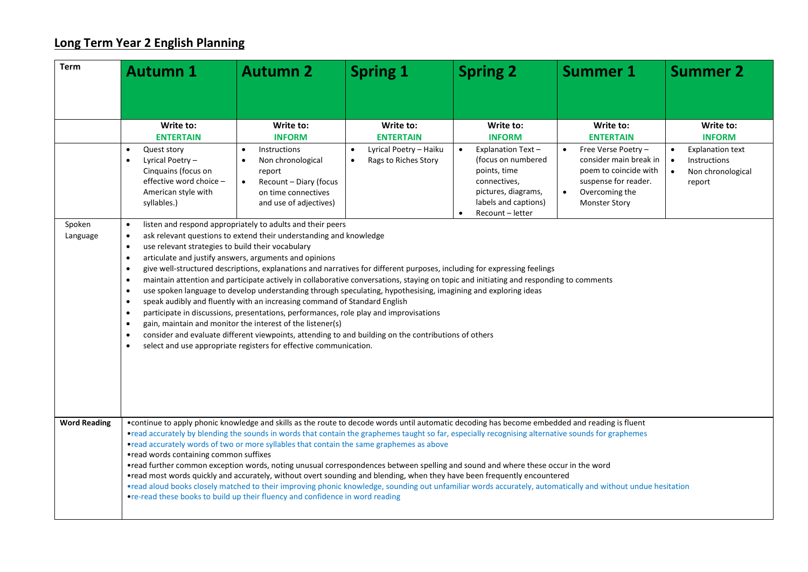## **Long Term Year 2 English Planning**

| <b>Term</b>         | <b>Autumn 1</b>                                                                                                                                                                                                                                                                                                                                                                                                                                                                                                                                                                                                                                                                                                                                                                                                                                                                                                                                                                                                                                                                                                                                                                                                                                                                                                                                                                                                                                                                                                                                                                                                                                                                                                                                                                                                                                                                                                                                                                                                                                                                                                                                               | <b>Autumn 2</b> | <b>Spring 1</b> | <b>Spring 2</b> | Summer 1 | <b>Summer 2</b> |  |
|---------------------|---------------------------------------------------------------------------------------------------------------------------------------------------------------------------------------------------------------------------------------------------------------------------------------------------------------------------------------------------------------------------------------------------------------------------------------------------------------------------------------------------------------------------------------------------------------------------------------------------------------------------------------------------------------------------------------------------------------------------------------------------------------------------------------------------------------------------------------------------------------------------------------------------------------------------------------------------------------------------------------------------------------------------------------------------------------------------------------------------------------------------------------------------------------------------------------------------------------------------------------------------------------------------------------------------------------------------------------------------------------------------------------------------------------------------------------------------------------------------------------------------------------------------------------------------------------------------------------------------------------------------------------------------------------------------------------------------------------------------------------------------------------------------------------------------------------------------------------------------------------------------------------------------------------------------------------------------------------------------------------------------------------------------------------------------------------------------------------------------------------------------------------------------------------|-----------------|-----------------|-----------------|----------|-----------------|--|
|                     |                                                                                                                                                                                                                                                                                                                                                                                                                                                                                                                                                                                                                                                                                                                                                                                                                                                                                                                                                                                                                                                                                                                                                                                                                                                                                                                                                                                                                                                                                                                                                                                                                                                                                                                                                                                                                                                                                                                                                                                                                                                                                                                                                               |                 |                 |                 |          |                 |  |
| Spoken<br>Language  | Write to:<br>Write to:<br>Write to:<br>Write to:<br>Write to:<br>Write to:<br><b>ENTERTAIN</b><br><b>INFORM</b><br><b>ENTERTAIN</b><br><b>INFORM</b><br><b>ENTERTAIN</b><br><b>INFORM</b><br>Lyrical Poetry - Haiku<br>Explanation Text-<br><b>Instructions</b><br>Free Verse Poetry -<br><b>Explanation text</b><br>Quest story<br>$\bullet$<br>$\bullet$<br>$\bullet$<br>$\bullet$<br>Rags to Riches Story<br>(focus on numbered<br>consider main break in<br>Lyrical Poetry-<br>Non chronological<br>Instructions<br>$\bullet$<br>$\bullet$<br>$\bullet$<br>$\bullet$<br>points, time<br>poem to coincide with<br>Cinquains (focus on<br>$\bullet$<br>Non chronological<br>report<br>effective word choice -<br>suspense for reader.<br>Recount - Diary (focus<br>connectives,<br>$\bullet$<br>report<br>pictures, diagrams,<br>Overcoming the<br>American style with<br>on time connectives<br>labels and captions)<br>syllables.)<br><b>Monster Story</b><br>and use of adjectives)<br>Recount-letter<br>$\bullet$<br>listen and respond appropriately to adults and their peers<br>$\bullet$<br>ask relevant questions to extend their understanding and knowledge<br>$\bullet$<br>use relevant strategies to build their vocabulary<br>$\bullet$<br>articulate and justify answers, arguments and opinions<br>$\bullet$<br>give well-structured descriptions, explanations and narratives for different purposes, including for expressing feelings<br>$\bullet$<br>maintain attention and participate actively in collaborative conversations, staying on topic and initiating and responding to comments<br>$\bullet$<br>use spoken language to develop understanding through speculating, hypothesising, imagining and exploring ideas<br>$\bullet$<br>speak audibly and fluently with an increasing command of Standard English<br>$\bullet$<br>participate in discussions, presentations, performances, role play and improvisations<br>$\bullet$<br>gain, maintain and monitor the interest of the listener(s)<br>$\bullet$<br>consider and evaluate different viewpoints, attending to and building on the contributions of others<br>$\bullet$ |                 |                 |                 |          |                 |  |
|                     |                                                                                                                                                                                                                                                                                                                                                                                                                                                                                                                                                                                                                                                                                                                                                                                                                                                                                                                                                                                                                                                                                                                                                                                                                                                                                                                                                                                                                                                                                                                                                                                                                                                                                                                                                                                                                                                                                                                                                                                                                                                                                                                                                               |                 |                 |                 |          |                 |  |
| <b>Word Reading</b> | •continue to apply phonic knowledge and skills as the route to decode words until automatic decoding has become embedded and reading is fluent<br>• read accurately by blending the sounds in words that contain the graphemes taught so far, especially recognising alternative sounds for graphemes<br>•read accurately words of two or more syllables that contain the same graphemes as above<br>•read words containing common suffixes<br>•read further common exception words, noting unusual correspondences between spelling and sound and where these occur in the word<br>•read most words quickly and accurately, without overt sounding and blending, when they have been frequently encountered<br>•read aloud books closely matched to their improving phonic knowledge, sounding out unfamiliar words accurately, automatically and without undue hesitation<br>• re-read these books to build up their fluency and confidence in word reading                                                                                                                                                                                                                                                                                                                                                                                                                                                                                                                                                                                                                                                                                                                                                                                                                                                                                                                                                                                                                                                                                                                                                                                                 |                 |                 |                 |          |                 |  |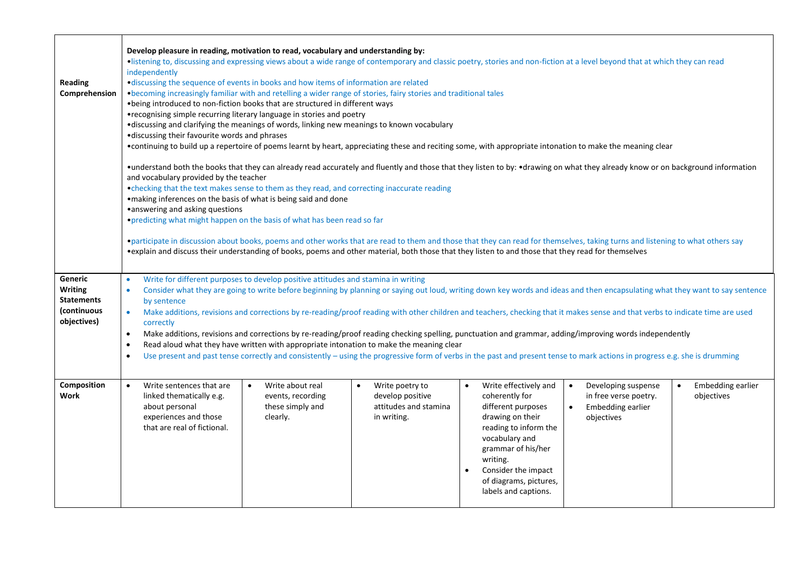| <b>Reading</b><br>Comprehension                                              | Develop pleasure in reading, motivation to read, vocabulary and understanding by:<br>·listening to, discussing and expressing views about a wide range of contemporary and classic poetry, stories and non-fiction at a level beyond that at which they can read<br>independently<br>•discussing the sequence of events in books and how items of information are related<br>• becoming increasingly familiar with and retelling a wider range of stories, fairy stories and traditional tales<br>• being introduced to non-fiction books that are structured in different ways<br>•recognising simple recurring literary language in stories and poetry<br>•discussing and clarifying the meanings of words, linking new meanings to known vocabulary<br>·discussing their favourite words and phrases<br>• continuing to build up a repertoire of poems learnt by heart, appreciating these and reciting some, with appropriate intonation to make the meaning clear<br>•understand both the books that they can already read accurately and fluently and those that they listen to by: •drawing on what they already know or on background information<br>and vocabulary provided by the teacher<br>• checking that the text makes sense to them as they read, and correcting inaccurate reading<br>• making inferences on the basis of what is being said and done<br>•answering and asking questions<br>• predicting what might happen on the basis of what has been read so far<br>•participate in discussion about books, poems and other works that are read to them and those that they can read for themselves, taking turns and listening to what others say<br>• explain and discuss their understanding of books, poems and other material, both those that they listen to and those that they read for themselves |                                                                                    |                                                                                          |                                                                                                                                                                                                                                         |                                                                                              |                                 |  |
|------------------------------------------------------------------------------|---------------------------------------------------------------------------------------------------------------------------------------------------------------------------------------------------------------------------------------------------------------------------------------------------------------------------------------------------------------------------------------------------------------------------------------------------------------------------------------------------------------------------------------------------------------------------------------------------------------------------------------------------------------------------------------------------------------------------------------------------------------------------------------------------------------------------------------------------------------------------------------------------------------------------------------------------------------------------------------------------------------------------------------------------------------------------------------------------------------------------------------------------------------------------------------------------------------------------------------------------------------------------------------------------------------------------------------------------------------------------------------------------------------------------------------------------------------------------------------------------------------------------------------------------------------------------------------------------------------------------------------------------------------------------------------------------------------------------------------------------------------------------------------------------------------------------------|------------------------------------------------------------------------------------|------------------------------------------------------------------------------------------|-----------------------------------------------------------------------------------------------------------------------------------------------------------------------------------------------------------------------------------------|----------------------------------------------------------------------------------------------|---------------------------------|--|
| Generic<br><b>Writing</b><br><b>Statements</b><br>(continuous<br>objectives) | Write for different purposes to develop positive attitudes and stamina in writing<br>$\bullet$<br>Consider what they are going to write before beginning by planning or saying out loud, writing down key words and ideas and then encapsulating what they want to say sentence<br>$\bullet$<br>by sentence<br>Make additions, revisions and corrections by re-reading/proof reading with other children and teachers, checking that it makes sense and that verbs to indicate time are used<br>$\bullet$<br>correctly<br>Make additions, revisions and corrections by re-reading/proof reading checking spelling, punctuation and grammar, adding/improving words independently<br>$\bullet$<br>Read aloud what they have written with appropriate intonation to make the meaning clear<br>$\bullet$<br>Use present and past tense correctly and consistently - using the progressive form of verbs in the past and present tense to mark actions in progress e.g. she is drumming<br>$\bullet$                                                                                                                                                                                                                                                                                                                                                                                                                                                                                                                                                                                                                                                                                                                                                                                                                                |                                                                                    |                                                                                          |                                                                                                                                                                                                                                         |                                                                                              |                                 |  |
| Composition<br><b>Work</b>                                                   | Write sentences that are<br>$\bullet$<br>linked thematically e.g.<br>about personal<br>experiences and those<br>that are real of fictional.                                                                                                                                                                                                                                                                                                                                                                                                                                                                                                                                                                                                                                                                                                                                                                                                                                                                                                                                                                                                                                                                                                                                                                                                                                                                                                                                                                                                                                                                                                                                                                                                                                                                                     | Write about real<br>$\bullet$<br>events, recording<br>these simply and<br>clearly. | Write poetry to<br>$\bullet$<br>develop positive<br>attitudes and stamina<br>in writing. | Write effectively and<br>coherently for<br>different purposes<br>drawing on their<br>reading to inform the<br>vocabulary and<br>grammar of his/her<br>writing.<br>Consider the impact<br>of diagrams, pictures,<br>labels and captions. | Developing suspense<br>$\bullet$<br>in free verse poetry.<br>Embedding earlier<br>objectives | Embedding earlier<br>objectives |  |

 $\blacksquare$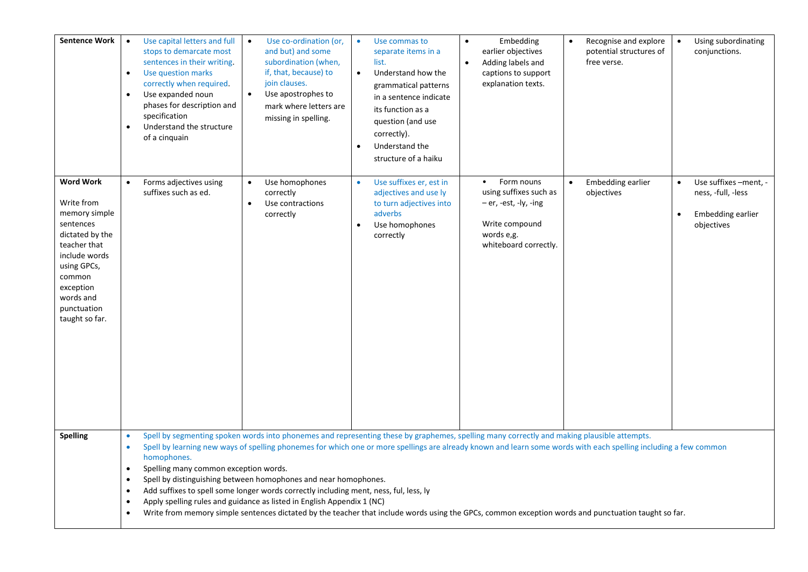| <b>Sentence Work</b>                                                                                                                                                                                 | Use capital letters and full<br>stops to demarcate most<br>sentences in their writing.<br>Use question marks<br>correctly when required.<br>Use expanded noun<br>$\bullet$<br>phases for description and<br>specification<br>Understand the structure<br>of a cinquain                                                                                                                                                                                                                                                                                                                                                                                                                                                                                                                                                  | Use co-ordination (or,<br>$\bullet$<br>and but) and some<br>subordination (when,<br>if, that, because) to<br>join clauses.<br>Use apostrophes to<br>$\bullet$<br>mark where letters are<br>missing in spelling. | Use commas to<br>$\bullet$<br>separate items in a<br>list.<br>Understand how the<br>$\bullet$<br>grammatical patterns<br>in a sentence indicate<br>its function as a<br>question (and use<br>correctly).<br>Understand the<br>$\bullet$<br>structure of a haiku | Embedding<br>earlier objectives<br>Adding labels and<br>$\bullet$<br>captions to support<br>explanation texts.         | Recognise and explore<br>potential structures of<br>free verse. | Using subordinating<br>conjunctions.                                           |
|------------------------------------------------------------------------------------------------------------------------------------------------------------------------------------------------------|-------------------------------------------------------------------------------------------------------------------------------------------------------------------------------------------------------------------------------------------------------------------------------------------------------------------------------------------------------------------------------------------------------------------------------------------------------------------------------------------------------------------------------------------------------------------------------------------------------------------------------------------------------------------------------------------------------------------------------------------------------------------------------------------------------------------------|-----------------------------------------------------------------------------------------------------------------------------------------------------------------------------------------------------------------|-----------------------------------------------------------------------------------------------------------------------------------------------------------------------------------------------------------------------------------------------------------------|------------------------------------------------------------------------------------------------------------------------|-----------------------------------------------------------------|--------------------------------------------------------------------------------|
| <b>Word Work</b><br>Write from<br>memory simple<br>sentences<br>dictated by the<br>teacher that<br>include words<br>using GPCs,<br>common<br>exception<br>words and<br>punctuation<br>taught so far. | Forms adjectives using<br>$\bullet$<br>suffixes such as ed.                                                                                                                                                                                                                                                                                                                                                                                                                                                                                                                                                                                                                                                                                                                                                             | Use homophones<br>correctly<br>Use contractions<br>$\bullet$<br>correctly                                                                                                                                       | Use suffixes er, est in<br>$\bullet$<br>adjectives and use ly<br>to turn adjectives into<br>adverbs<br>Use homophones<br>$\bullet$<br>correctly                                                                                                                 | Form nouns<br>using suffixes such as<br>- er, -est, -ly, -ing<br>Write compound<br>words e,g.<br>whiteboard correctly. | Embedding earlier<br>objectives                                 | Use suffixes -ment, -<br>ness, -full, -less<br>Embedding earlier<br>objectives |
| <b>Spelling</b>                                                                                                                                                                                      | Spell by segmenting spoken words into phonemes and representing these by graphemes, spelling many correctly and making plausible attempts.<br>Spell by learning new ways of spelling phonemes for which one or more spellings are already known and learn some words with each spelling including a few common<br>$\bullet$<br>homophones.<br>Spelling many common exception words.<br>$\bullet$<br>Spell by distinguishing between homophones and near homophones.<br>$\bullet$<br>Add suffixes to spell some longer words correctly including ment, ness, ful, less, ly<br>Apply spelling rules and guidance as listed in English Appendix 1 (NC)<br>$\bullet$<br>Write from memory simple sentences dictated by the teacher that include words using the GPCs, common exception words and punctuation taught so far. |                                                                                                                                                                                                                 |                                                                                                                                                                                                                                                                 |                                                                                                                        |                                                                 |                                                                                |